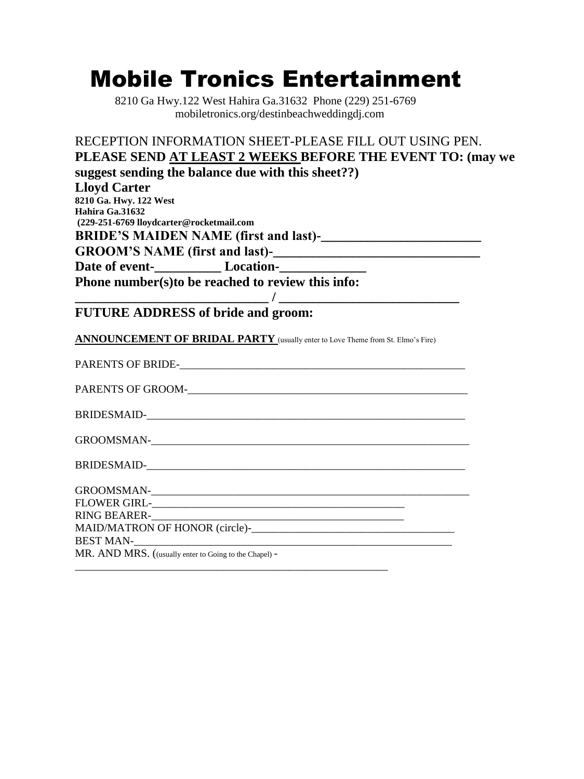# Mobile Tronics Entertainment

 8210 Ga Hwy.122 West Hahira Ga.31632 Phone (229) 251-6769 mobiletronics.org/destinbeachweddingdj.com

| RECEPTION INFORMATION SHEET-PLEASE FILL OUT USING PEN.                                                                                                                                                                        |
|-------------------------------------------------------------------------------------------------------------------------------------------------------------------------------------------------------------------------------|
| PLEASE SEND AT LEAST 2 WEEKS BEFORE THE EVENT TO: (may we                                                                                                                                                                     |
| suggest sending the balance due with this sheet??)                                                                                                                                                                            |
| <b>Lloyd Carter</b>                                                                                                                                                                                                           |
| 8210 Ga. Hwy. 122 West                                                                                                                                                                                                        |
| Hahira Ga.31632                                                                                                                                                                                                               |
| (229-251-6769 lloydcarter@rocketmail.com                                                                                                                                                                                      |
|                                                                                                                                                                                                                               |
| GROOM'S NAME (first and last)-<br><u>CROOM'S NAME</u> (first and last)-                                                                                                                                                       |
| Date of event-<br><u>Location-</u>                                                                                                                                                                                            |
| Phone number(s) to be reached to review this info:                                                                                                                                                                            |
|                                                                                                                                                                                                                               |
| <b>FUTURE ADDRESS of bride and groom:</b>                                                                                                                                                                                     |
| ANNOUNCEMENT OF BRIDAL PARTY (usually enter to Love Theme from St. Elmo's Fire)                                                                                                                                               |
|                                                                                                                                                                                                                               |
|                                                                                                                                                                                                                               |
|                                                                                                                                                                                                                               |
| GROOMSMAN-LACK CONSTRUCTION CONTRACT CONSTRUCTION                                                                                                                                                                             |
|                                                                                                                                                                                                                               |
|                                                                                                                                                                                                                               |
|                                                                                                                                                                                                                               |
| RING BEARER-<br><u> 2000 - 2000 - 2000 - 2000 - 2000 - 2000 - 2000 - 2000 - 2000 - 2000 - 2000 - 2000 - 2000 - 2000 - 2000 - 200</u>                                                                                          |
|                                                                                                                                                                                                                               |
| BEST MAN-LAND CONTROL CONTROL CONTROL CONTROL CONTROL CONTROL CONTROL CONTROL CONTROL CONTROL CONTROL CONTROL CONTROL CONTROL CONTROL CONTROL CONTROL CONTROL CONTROL CONTROL CONTROL CONTROL CONTROL CONTROL CONTROL CONTROL |
| MR. AND MRS. ((usually enter to Going to the Chapel) -                                                                                                                                                                        |

\_\_\_\_\_\_\_\_\_\_\_\_\_\_\_\_\_\_\_\_\_\_\_\_\_\_\_\_\_\_\_\_\_\_\_\_\_\_\_\_\_\_\_\_\_\_\_\_\_\_\_\_\_\_\_\_\_